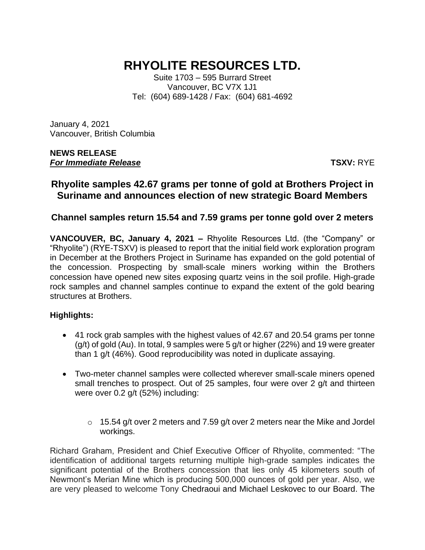# **RHYOLITE RESOURCES LTD.**

Suite 1703 – 595 Burrard Street Vancouver, BC V7X 1J1 Tel: (604) 689-1428 / Fax: (604) 681-4692

January 4, 2021 Vancouver, British Columbia

#### **NEWS RELEASE** *For Immediate Release* **TSXV:** RYE

## **Rhyolite samples 42.67 grams per tonne of gold at Brothers Project in Suriname and announces election of new strategic Board Members**

## **Channel samples return 15.54 and 7.59 grams per tonne gold over 2 meters**

**VANCOUVER, BC, January 4, 2021 –** Rhyolite Resources Ltd. (the "Company" or "Rhyolite") (RYE-TSXV) is pleased to report that the initial field work exploration program in December at the Brothers Project in Suriname has expanded on the gold potential of the concession. Prospecting by small-scale miners working within the Brothers concession have opened new sites exposing quartz veins in the soil profile. High-grade rock samples and channel samples continue to expand the extent of the gold bearing structures at Brothers.

#### **Highlights:**

- 41 rock grab samples with the highest values of 42.67 and 20.54 grams per tonne (g/t) of gold (Au). In total, 9 samples were 5 g/t or higher (22%) and 19 were greater than 1 g/t (46%). Good reproducibility was noted in duplicate assaying.
- Two-meter channel samples were collected wherever small-scale miners opened small trenches to prospect. Out of 25 samples, four were over 2 g/t and thirteen were over 0.2 g/t (52%) including:
	- $\circ$  15.54 g/t over 2 meters and 7.59 g/t over 2 meters near the Mike and Jordel workings.

Richard Graham, President and Chief Executive Officer of Rhyolite, commented: "The identification of additional targets returning multiple high-grade samples indicates the significant potential of the Brothers concession that lies only 45 kilometers south of Newmont's Merian Mine which is producing 500,000 ounces of gold per year. Also, we are very pleased to welcome Tony Chedraoui and Michael Leskovec to our Board. The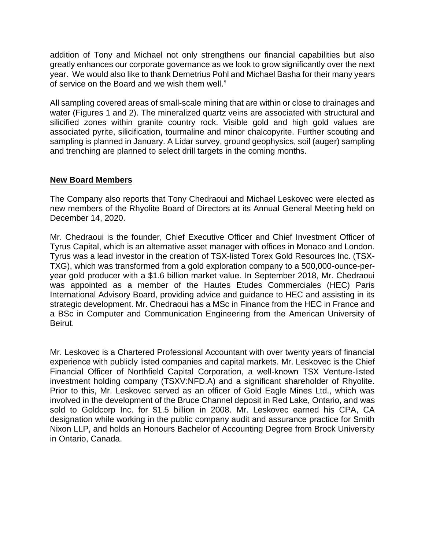addition of Tony and Michael not only strengthens our financial capabilities but also greatly enhances our corporate governance as we look to grow significantly over the next year. We would also like to thank Demetrius Pohl and Michael Basha for their many years of service on the Board and we wish them well."

All sampling covered areas of small-scale mining that are within or close to drainages and water (Figures 1 and 2). The mineralized quartz veins are associated with structural and silicified zones within granite country rock. Visible gold and high gold values are associated pyrite, silicification, tourmaline and minor chalcopyrite. Further scouting and sampling is planned in January. A Lidar survey, ground geophysics, soil (auger) sampling and trenching are planned to select drill targets in the coming months.

#### **New Board Members**

The Company also reports that Tony Chedraoui and Michael Leskovec were elected as new members of the Rhyolite Board of Directors at its Annual General Meeting held on December 14, 2020.

Mr. Chedraoui is the founder, Chief Executive Officer and Chief Investment Officer of Tyrus Capital, which is an alternative asset manager with offices in Monaco and London. Tyrus was a lead investor in the creation of TSX-listed Torex Gold Resources Inc. (TSX-TXG), which was transformed from a gold exploration company to a 500,000-ounce-peryear gold producer with a \$1.6 billion market value. In September 2018, Mr. Chedraoui was appointed as a member of the Hautes Etudes Commerciales (HEC) Paris International Advisory Board, providing advice and guidance to HEC and assisting in its strategic development. Mr. Chedraoui has a MSc in Finance from the HEC in France and a BSc in Computer and Communication Engineering from the American University of Beirut.

Mr. Leskovec is a Chartered Professional Accountant with over twenty years of financial experience with publicly listed companies and capital markets. Mr. Leskovec is the Chief Financial Officer of Northfield Capital Corporation, a well-known TSX Venture-listed investment holding company (TSXV:NFD.A) and a significant shareholder of Rhyolite. Prior to this, Mr. Leskovec served as an officer of Gold Eagle Mines Ltd., which was involved in the development of the Bruce Channel deposit in Red Lake, Ontario, and was sold to Goldcorp Inc. for \$1.5 billion in 2008. Mr. Leskovec earned his CPA, CA designation while working in the public company audit and assurance practice for Smith Nixon LLP, and holds an Honours Bachelor of Accounting Degree from Brock University in Ontario, Canada.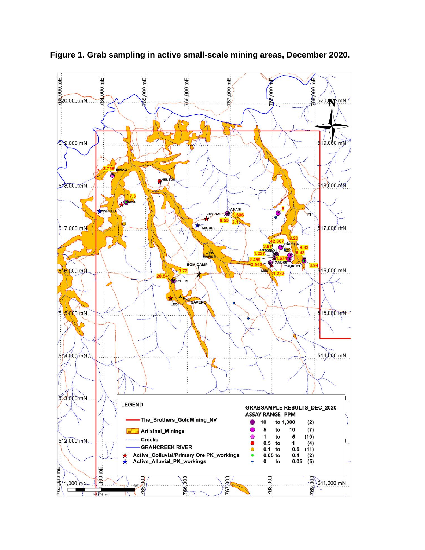

**Figure 1. Grab sampling in active small-scale mining areas, December 2020.**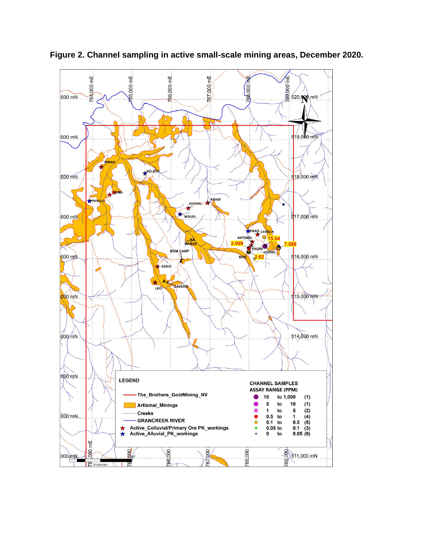

**Figure 2. Channel sampling in active small-scale mining areas, December 2020.**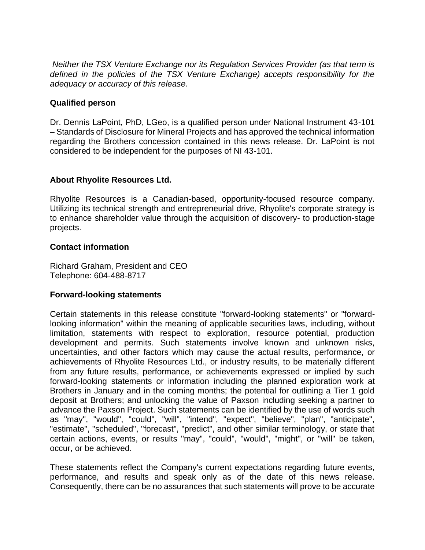*Neither the TSX Venture Exchange nor its Regulation Services Provider (as that term is defined in the policies of the TSX Venture Exchange) accepts responsibility for the adequacy or accuracy of this release.*

#### **Qualified person**

Dr. Dennis LaPoint, PhD, LGeo, is a qualified person under National Instrument 43-101 – Standards of Disclosure for Mineral Projects and has approved the technical information regarding the Brothers concession contained in this news release. Dr. LaPoint is not considered to be independent for the purposes of NI 43-101.

### **About Rhyolite Resources Ltd.**

Rhyolite Resources is a Canadian-based, opportunity-focused resource company. Utilizing its technical strength and entrepreneurial drive, Rhyolite's corporate strategy is to enhance shareholder value through the acquisition of discovery- to production-stage projects.

#### **Contact information**

Richard Graham, President and CEO Telephone: 604-488-8717

#### **Forward-looking statements**

Certain statements in this release constitute "forward-looking statements" or "forwardlooking information" within the meaning of applicable securities laws, including, without limitation, statements with respect to exploration, resource potential, production development and permits. Such statements involve known and unknown risks, uncertainties, and other factors which may cause the actual results, performance, or achievements of Rhyolite Resources Ltd., or industry results, to be materially different from any future results, performance, or achievements expressed or implied by such forward-looking statements or information including the planned exploration work at Brothers in January and in the coming months; the potential for outlining a Tier 1 gold deposit at Brothers; and unlocking the value of Paxson including seeking a partner to advance the Paxson Project. Such statements can be identified by the use of words such as "may", "would", "could", "will", "intend", "expect", "believe", "plan", "anticipate", "estimate", "scheduled", "forecast", "predict", and other similar terminology, or state that certain actions, events, or results "may", "could", "would", "might", or "will" be taken, occur, or be achieved.

These statements reflect the Company's current expectations regarding future events, performance, and results and speak only as of the date of this news release. Consequently, there can be no assurances that such statements will prove to be accurate